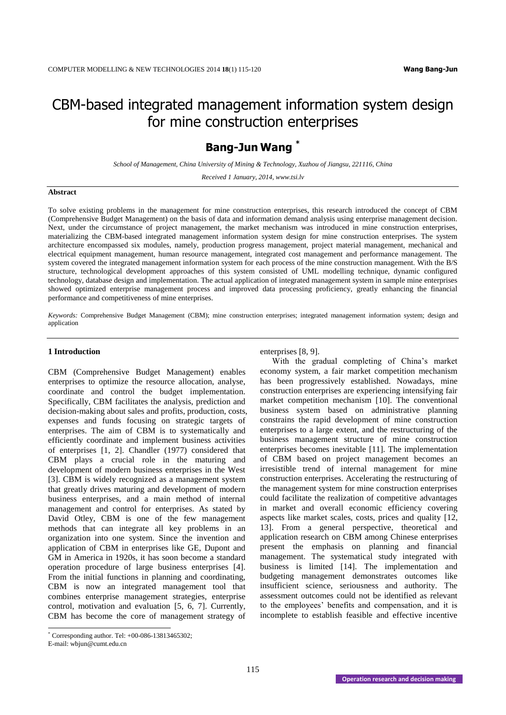## CBM-based integrated management information system design for mine construction enterprises

## **Bang-Jun Wang \***

*School of Management, China University of Mining & Technology, Xuzhou of Jiangsu, 221116, China*

*Received 1 January, 2014, www.tsi.lv*

#### **Abstract**

To solve existing problems in the management for mine construction enterprises, this research introduced the concept of CBM (Comprehensive Budget Management) on the basis of data and information demand analysis using enterprise management decision. Next, under the circumstance of project management, the market mechanism was introduced in mine construction enterprises, materializing the CBM-based integrated management information system design for mine construction enterprises. The system architecture encompassed six modules, namely, production progress management, project material management, mechanical and electrical equipment management, human resource management, integrated cost management and performance management. The system covered the integrated management information system for each process of the mine construction management. With the B/S structure, technological development approaches of this system consisted of UML modelling technique, dynamic configured technology, database design and implementation. The actual application of integrated management system in sample mine enterprises showed optimized enterprise management process and improved data processing proficiency, greatly enhancing the financial performance and competitiveness of mine enterprises.

*Keywords:* Comprehensive Budget Management (CBM); mine construction enterprises; integrated management information system; design and application

#### **1 Introduction**

CBM (Comprehensive Budget Management) enables enterprises to optimize the resource allocation, analyse, coordinate and control the budget implementation. Specifically, CBM facilitates the analysis, prediction and decision-making about sales and profits, production, costs, expenses and funds focusing on strategic targets of enterprises. The aim of CBM is to systematically and efficiently coordinate and implement business activities of enterprises [1, 2]. Chandler (1977) considered that CBM plays a crucial role in the maturing and development of modern business enterprises in the West [3]. CBM is widely recognized as a management system that greatly drives maturing and development of modern business enterprises, and a main method of internal management and control for enterprises. As stated by David Otley, CBM is one of the few management methods that can integrate all key problems in an organization into one system. Since the invention and application of CBM in enterprises like GE, Dupont and GM in America in 1920s, it has soon become a standard operation procedure of large business enterprises [4]. From the initial functions in planning and coordinating, CBM is now an integrated management tool that combines enterprise management strategies, enterprise control, motivation and evaluation [5, 6, 7]. Currently, CBM has become the core of management strategy of enterprises [8, 9].

With the gradual completing of China's market economy system, a fair market competition mechanism has been progressively established. Nowadays, mine construction enterprises are experiencing intensifying fair market competition mechanism [10]. The conventional business system based on administrative planning constrains the rapid development of mine construction enterprises to a large extent, and the restructuring of the business management structure of mine construction enterprises becomes inevitable [11]. The implementation of CBM based on project management becomes an irresistible trend of internal management for mine construction enterprises. Accelerating the restructuring of the management system for mine construction enterprises could facilitate the realization of competitive advantages in market and overall economic efficiency covering aspects like market scales, costs, prices and quality [12, 13]. From a general perspective, theoretical and application research on CBM among Chinese enterprises present the emphasis on planning and financial management. The systematical study integrated with business is limited [14]. The implementation and budgeting management demonstrates outcomes like insufficient science, seriousness and authority. The assessment outcomes could not be identified as relevant to the employees' benefits and compensation, and it is incomplete to establish feasible and effective incentive

 $\overline{a}$ 

 $*$  Corresponding author. Tel:  $+00-086-13813465302$ ;

E-mail: wbjun@cumt.edu.cn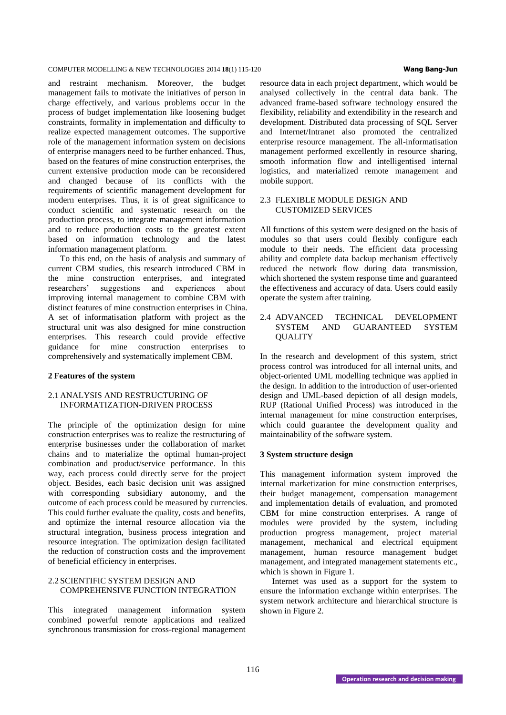and restraint mechanism. Moreover, the budget management fails to motivate the initiatives of person in charge effectively, and various problems occur in the process of budget implementation like loosening budget constraints, formality in implementation and difficulty to realize expected management outcomes. The supportive role of the management information system on decisions of enterprise managers need to be further enhanced. Thus, based on the features of mine construction enterprises, the current extensive production mode can be reconsidered and changed because of its conflicts with the requirements of scientific management development for modern enterprises. Thus, it is of great significance to conduct scientific and systematic research on the production process, to integrate management information and to reduce production costs to the greatest extent based on information technology and the latest information management platform.

To this end, on the basis of analysis and summary of current CBM studies, this research introduced CBM in the mine construction enterprises, and integrated researchers' suggestions and experiences about improving internal management to combine CBM with distinct features of mine construction enterprises in China. A set of informatisation platform with project as the structural unit was also designed for mine construction enterprises. This research could provide effective guidance for mine construction enterprises to comprehensively and systematically implement CBM.

#### **2 Features of the system**

#### 2.1 ANALYSIS AND RESTRUCTURING OF INFORMATIZATION-DRIVEN PROCESS

The principle of the optimization design for mine construction enterprises was to realize the restructuring of enterprise businesses under the collaboration of market chains and to materialize the optimal human-project combination and product/service performance. In this way, each process could directly serve for the project object. Besides, each basic decision unit was assigned with corresponding subsidiary autonomy, and the outcome of each process could be measured by currencies. This could further evaluate the quality, costs and benefits, and optimize the internal resource allocation via the structural integration, business process integration and resource integration. The optimization design facilitated the reduction of construction costs and the improvement of beneficial efficiency in enterprises.

#### 2.2 SCIENTIFIC SYSTEM DESIGN AND COMPREHENSIVE FUNCTION INTEGRATION

This integrated management information system combined powerful remote applications and realized synchronous transmission for cross-regional management resource data in each project department, which would be analysed collectively in the central data bank. The advanced frame-based software technology ensured the flexibility, reliability and extendibility in the research and development. Distributed data processing of SQL Server and Internet/Intranet also promoted the centralized enterprise resource management. The all-informatisation management performed excellently in resource sharing, smooth information flow and intelligentised internal logistics, and materialized remote management and mobile support.

#### 2.3 FLEXIBLE MODULE DESIGN AND CUSTOMIZED SERVICES

All functions of this system were designed on the basis of modules so that users could flexibly configure each module to their needs. The efficient data processing ability and complete data backup mechanism effectively reduced the network flow during data transmission, which shortened the system response time and guaranteed the effectiveness and accuracy of data. Users could easily operate the system after training.

#### 2.4 ADVANCED TECHNICAL DEVELOPMENT SYSTEM AND GUARANTEED SYSTEM **QUALITY**

In the research and development of this system, strict process control was introduced for all internal units, and object-oriented UML modelling technique was applied in the design. In addition to the introduction of user-oriented design and UML-based depiction of all design models, RUP (Rational Unified Process) was introduced in the internal management for mine construction enterprises, which could guarantee the development quality and maintainability of the software system.

#### **3 System structure design**

This management information system improved the internal marketization for mine construction enterprises, their budget management, compensation management and implementation details of evaluation, and promoted CBM for mine construction enterprises. A range of modules were provided by the system, including production progress management, project material management, mechanical and electrical equipment management, human resource management budget management, and integrated management statements etc., which is shown in Figure 1.

Internet was used as a support for the system to ensure the information exchange within enterprises. The system network architecture and hierarchical structure is shown in Figure 2.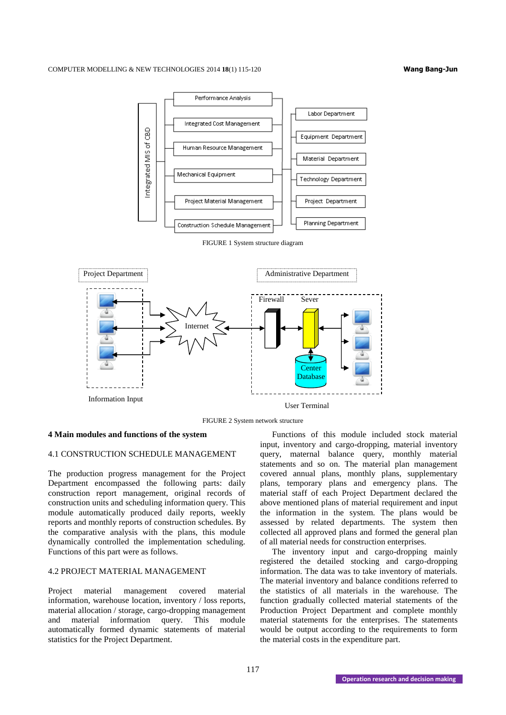

FIGURE 2 System network structure

#### **4 Main modules and functions of the system**

#### 4.1 CONSTRUCTION SCHEDULE MANAGEMENT

The production progress management for the Project Department encompassed the following parts: daily construction report management, original records of construction units and scheduling information query. This module automatically produced daily reports, weekly reports and monthly reports of construction schedules. By the comparative analysis with the plans, this module dynamically controlled the implementation scheduling. Functions of this part were as follows.

### 4.2 PROJECT MATERIAL MANAGEMENT

Project material management covered material information, warehouse location, inventory / loss reports, material allocation / storage, cargo-dropping management and material information query. This module automatically formed dynamic statements of material statistics for the Project Department.

Functions of this module included stock material input, inventory and cargo-dropping, material inventory query, maternal balance query, monthly material statements and so on. The material plan management covered annual plans, monthly plans, supplementary plans, temporary plans and emergency plans. The material staff of each Project Department declared the above mentioned plans of material requirement and input the information in the system. The plans would be assessed by related departments. The system then collected all approved plans and formed the general plan of all material needs for construction enterprises.

The inventory input and cargo-dropping mainly registered the detailed stocking and cargo-dropping information. The data was to take inventory of materials. The material inventory and balance conditions referred to the statistics of all materials in the warehouse. The function gradually collected material statements of the Production Project Department and complete monthly material statements for the enterprises. The statements would be output according to the requirements to form the material costs in the expenditure part.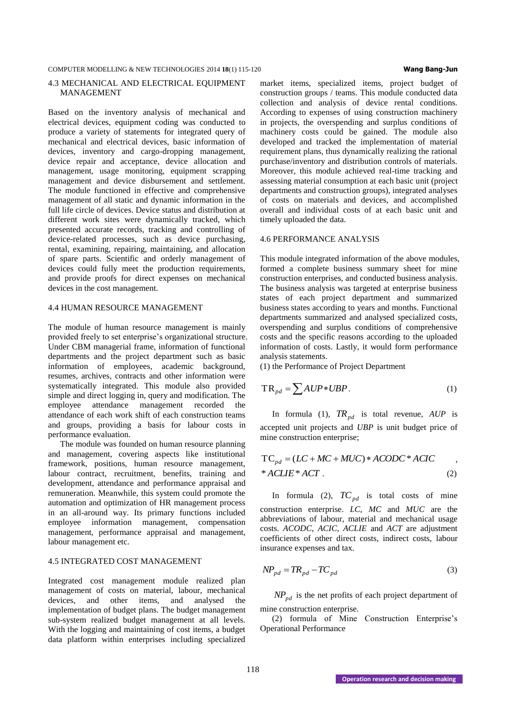#### 4.3 MECHANICAL AND ELECTRICAL EQUIPMENT MANAGEMENT

Based on the inventory analysis of mechanical and electrical devices, equipment coding was conducted to produce a variety of statements for integrated query of mechanical and electrical devices, basic information of devices, inventory and cargo-dropping management, device repair and acceptance, device allocation and management, usage monitoring, equipment scrapping management and device disbursement and settlement. The module functioned in effective and comprehensive management of all static and dynamic information in the full life circle of devices. Device status and distribution at different work sites were dynamically tracked, which presented accurate records, tracking and controlling of device-related processes, such as device purchasing, rental, examining, repairing, maintaining, and allocation of spare parts. Scientific and orderly management of devices could fully meet the production requirements, and provide proofs for direct expenses on mechanical devices in the cost management.

#### 4.4 HUMAN RESOURCE MANAGEMENT

The module of human resource management is mainly provided freely to set enterprise's organizational structure. Under CBM managerial frame, information of functional departments and the project department such as basic information of employees, academic background, resumes, archives, contracts and other information were systematically integrated. This module also provided simple and direct logging in, query and modification. The employee attendance management recorded the attendance of each work shift of each construction teams and groups, providing a basis for labour costs in performance evaluation.

The module was founded on human resource planning and management, covering aspects like institutional framework, positions, human resource management, labour contract, recruitment, benefits, training and development, attendance and performance appraisal and remuneration. Meanwhile, this system could promote the automation and optimization of HR management process in an all-around way. Its primary functions included employee information management, compensation management, performance appraisal and management, labour management etc.

#### 4.5 INTEGRATED COST MANAGEMENT

Integrated cost management module realized plan management of costs on material, labour, mechanical devices, and other items, and analysed the implementation of budget plans. The budget management sub-system realized budget management at all levels. With the logging and maintaining of cost items, a budget data platform within enterprises including specialized

# market items, specialized items, project budget of

construction groups / teams. This module conducted data collection and analysis of device rental conditions. According to expenses of using construction machinery in projects, the overspending and surplus conditions of machinery costs could be gained. The module also developed and tracked the implementation of material requirement plans, thus dynamically realizing the rational purchase/inventory and distribution controls of materials. Moreover, this module achieved real-time tracking and assessing material consumption at each basic unit (project departments and construction groups), integrated analyses of costs on materials and devices, and accomplished overall and individual costs of at each basic unit and timely uploaded the data.

#### 4.6 PERFORMANCE ANALYSIS

This module integrated information of the above modules, formed a complete business summary sheet for mine construction enterprises, and conducted business analysis. The business analysis was targeted at enterprise business states of each project department and summarized business states according to years and months. Functional departments summarized and analysed specialized costs, overspending and surplus conditions of comprehensive costs and the specific reasons according to the uploaded information of costs. Lastly, it would form performance analysis statements.

(1) the Performance of Project Department

$$
TR_{pd} = \sum AUP*UBP.
$$
 (1)

In formula (1),  $TR_{pd}$  is total revenue,  $AUP$  is accepted unit projects and *UBP* is unit budget price of mine construction enterprise;

$$
TC_{pd} = (LC + MC + MUC) * ACODE * ACIC ,
$$
  
\* ACILE\* ACT . (2)

In formula (2),  $TC_{pd}$  is total costs of mine construction enterprise. *LC*, *MC* and *MUC* are the abbreviations of labour, material and mechanical usage costs. *ACODC*, *ACIC*, *ACLIE* and *ACT* are adjustment coefficients of other direct costs, indirect costs, labour insurance expenses and tax.

$$
NP_{pd} = TR_{pd} - TC_{pd}
$$
 (3)

*NPpd* is the net profits of each project department of mine construction enterprise.

(2) formula of Mine Construction Enterprise's Operational Performance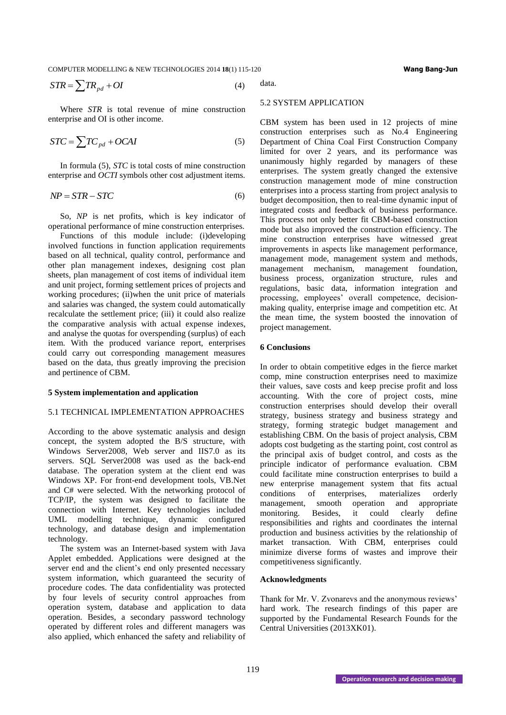$$
STR = \sum TR_{pd} + OI \tag{4}
$$

Where *STR* is total revenue of mine construction enterprise and OI is other income.

$$
STC = \sum TC_{pd} + OCAI
$$
 (5)

In formula (5), *STC* is total costs of mine construction enterprise and *OCTI* symbols other cost adjustment items.

$$
NP = STR - STC \tag{6}
$$

So, *NP* is net profits, which is key indicator of operational performance of mine construction enterprises.

Functions of this module include: (i)developing involved functions in function application requirements based on all technical, quality control, performance and other plan management indexes, designing cost plan sheets, plan management of cost items of individual item and unit project, forming settlement prices of projects and working procedures; (ii)when the unit price of materials and salaries was changed, the system could automatically recalculate the settlement price; (iii) it could also realize the comparative analysis with actual expense indexes, and analyse the quotas for overspending (surplus) of each item. With the produced variance report, enterprises could carry out corresponding management measures based on the data, thus greatly improving the precision and pertinence of CBM.

#### **5 System implementation and application**

#### 5.1 TECHNICAL IMPLEMENTATION APPROACHES

According to the above systematic analysis and design concept, the system adopted the B/S structure, with Windows Server2008, Web server and IIS7.0 as its servers. SQL Server2008 was used as the back-end database. The operation system at the client end was Windows XP. For front-end development tools, VB.Net and C# were selected. With the networking protocol of TCP/IP, the system was designed to facilitate the connection with Internet. Key technologies included UML modelling technique, dynamic configured technology, and database design and implementation technology.

The system was an Internet-based system with Java Applet embedded. Applications were designed at the server end and the client's end only presented necessary system information, which guaranteed the security of procedure codes. The data confidentiality was protected by four levels of security control approaches from operation system, database and application to data operation. Besides, a secondary password technology operated by different roles and different managers was also applied, which enhanced the safety and reliability of

data.

#### 5.2 SYSTEM APPLICATION

**STR** =  $\sum m_{\text{eff}} m_{\text{eff}} = \sum m_{\text{eff}} m_{\text{eff}} + \epsilon H$ <br> **OPERATION TENE IN and the entropy of the contents of the contents of the contents of the entropy of the contents of the entropy of the contents of the entropy of the entr** CBM system has been used in 12 projects of mine construction enterprises such as No.4 Engineering Department of China Coal First Construction Company limited for over 2 years, and its performance was unanimously highly regarded by managers of these enterprises. The system greatly changed the extensive construction management mode of mine construction enterprises into a process starting from project analysis to budget decomposition, then to real-time dynamic input of integrated costs and feedback of business performance. This process not only better fit CBM-based construction mode but also improved the construction efficiency. The mine construction enterprises have witnessed great improvements in aspects like management performance, management mode, management system and methods, management mechanism, management foundation, business process, organization structure, rules and regulations, basic data, information integration and processing, employees' overall competence, decisionmaking quality, enterprise image and competition etc. At the mean time, the system boosted the innovation of project management.

#### **6 Conclusions**

In order to obtain competitive edges in the fierce market comp, mine construction enterprises need to maximize their values, save costs and keep precise profit and loss accounting. With the core of project costs, mine construction enterprises should develop their overall strategy, business strategy and business strategy and strategy, forming strategic budget management and establishing CBM. On the basis of project analysis, CBM adopts cost budgeting as the starting point, cost control as the principal axis of budget control, and costs as the principle indicator of performance evaluation. CBM could facilitate mine construction enterprises to build a new enterprise management system that fits actual conditions of enterprises, materializes orderly management, smooth operation and appropriate monitoring. Besides, it could clearly define responsibilities and rights and coordinates the internal production and business activities by the relationship of market transaction. With CBM, enterprises could minimize diverse forms of wastes and improve their competitiveness significantly.

#### **Acknowledgments**

Thank for Mr. V. Zvonarevs and the anonymous reviews' hard work. The research findings of this paper are supported by the Fundamental Research Founds for the Central Universities (2013XK01).